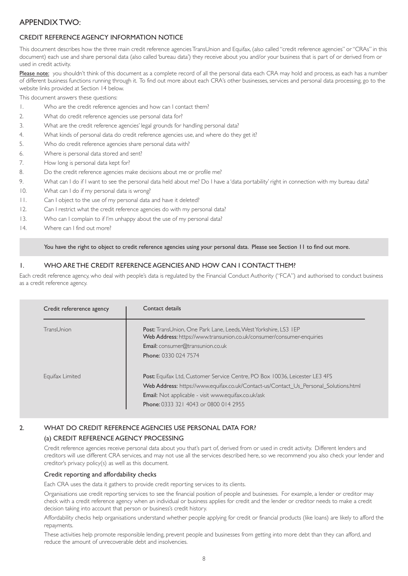# APPENDIX TWO:

# CREDIT REFERENCE AGENCY INFORMATION NOTICE

This document describes how the three main credit reference agencies TransUnion and Equifax, (also called "credit reference agencies" or "CRAs" in this document) each use and share personal data (also called 'bureau data') they receive about you and/or your business that is part of or derived from or used in credit activity.

Please note: you shouldn't think of this document as a complete record of all the personal data each CRA may hold and process, as each has a number of different business functions running through it. To find out more about each CRA's other businesses, services and personal data processing, go to the website links provided at Section 14 below.

This document answers these questions:

- 1. Who are the credit reference agencies and how can I contact them?
- 2. What do credit reference agencies use personal data for?
- 3. What are the credit reference agencies' legal grounds for handling personal data?
- 4. What kinds of personal data do credit reference agencies use, and where do they get it?
- 5. Who do credit reference agencies share personal data with?
- 6. Where is personal data stored and sent?
- 7. How long is personal data kept for?
- 8. Do the credit reference agencies make decisions about me or profile me?
- 9. What can I do if I want to see the personal data held about me? Do I have a 'data portability' right in connection with my bureau data?
- 10. What can I do if my personal data is wrong?
- 11. Can I object to the use of my personal data and have it deleted?
- 12. Can I restrict what the credit reference agencies do with my personal data?
- 13. Who can I complain to if I'm unhappy about the use of my personal data?
- 14. Where can I find out more?

You have the right to object to credit reference agencies using your personal data. Please see Section 11 to find out more.

# 1. WHO ARE THE CREDIT REFERENCE AGENCIES AND HOW CAN I CONTACT THEM?

Each credit reference agency, who deal with people's data is regulated by the Financial Conduct Authority ("FCA") and authorised to conduct business as a credit reference agency.

| Credit refererence agency | Contact details                                                                                                                                                                                                                                                                   |
|---------------------------|-----------------------------------------------------------------------------------------------------------------------------------------------------------------------------------------------------------------------------------------------------------------------------------|
| TransUnion                | Post: TransUnion, One Park Lane, Leeds, West Yorkshire, LS3 IEP<br>Web Address: https://www.transunion.co.uk/consumer/consumer-enquiries<br><b>Email:</b> consumer@transunion.co.uk<br><b>Phone: 0330 024 7574</b>                                                                |
| Equifax Limited           | <b>Post:</b> Equifax Ltd, Customer Service Centre, PO Box 10036, Leicester LE3 4FS<br>Web Address: https://www.equifax.co.uk/Contact-us/Contact_Us_Personal_Solutions.html<br><b>Email:</b> Not applicable - visit www.equifax.co.uk/ask<br>Phone: 0333 321 4043 or 0800 014 2955 |

# 2. WHAT DO CREDIT REFERENCE AGENCIES USE PERSONAL DATA FOR?

# (a) CREDIT REFERENCE AGENCY PROCESSING

Credit reference agencies receive personal data about you that's part of, derived from or used in credit activity. Different lenders and creditors will use different CRA services, and may not use all the services described here, so we recommend you also check your lender and creditor's privacy policy(s) as well as this document.

#### Credit reporting and affordability checks

Each CRA uses the data it gathers to provide credit reporting services to its clients.

Organisations use credit reporting services to see the financial position of people and businesses. For example, a lender or creditor may check with a credit reference agency when an individual or business applies for credit and the lender or creditor needs to make a credit decision taking into account that person or business's credit history.

Affordability checks help organisations understand whether people applying for credit or financial products (like loans) are likely to afford the repayments.

These activities help promote responsible lending, prevent people and businesses from getting into more debt than they can afford, and reduce the amount of unrecoverable debt and insolvencies.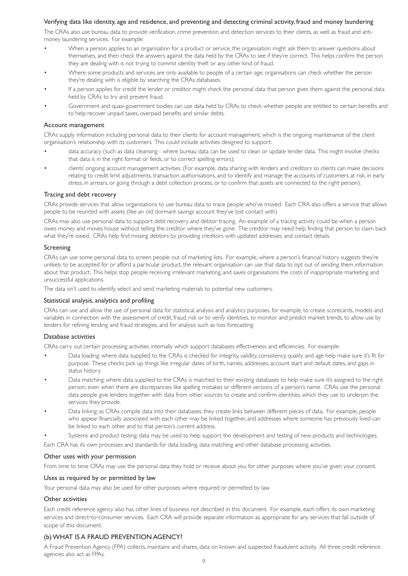## Verifying data like identity, age and residence, and preventing and detecting criminal activity, fraud and money laundering

The CRAs also use bureau data to provide verification, crime prevention and detection services to their clients, as well as fraud and antimoney laundering services. For example:

- When a person applies to an organisation for a product or service, the organisation might ask them to answer questions about themselves, and then check the answers against the data held by the CRAs to see if they're correct. This helps confirm the person they are dealing with is not trying to commit identity theft or any other kind of fraud.
- Where some products and services are only available to people of a certain age, organisations can check whether the person they're dealing with is eligible by searching the CRAs databases.
- If a person applies for credit the lender or creditor might check the personal data that person gives them against the personal data held by CRAs to try and prevent fraud.
- Government and quasi-government bodies can use data held by CRAs to check whether people are entitled to certain benefits and to help recover unpaid taxes, overpaid benefits and similar debts.

#### Account management

CRAs supply information including personal data to their clients for account management, which is the ongoing maintenance of the client organisation's relationship with its customers. This could include activities designed to support:

- data accuracy (such as data cleansing where bureau data can be used to clean or update lender data. This might involve checks that data is in the right format or fields, or to correct spelling errors);
- clients' ongoing account management activities. (For example, data sharing with lenders and creditors so clients can make decisions relating to credit limit adjustments, transaction authorisations, and to identify and manage the accounts of customers at risk, in early stress, in arrears, or going through a debt collection process, or to confirm that assets are connected to the right person).

#### Tracing and debt recovery

CRAs provide services that allow organisations to use bureau data to trace people who've moved. Each CRA also offers a service that allows people to be reunited with assets (like an old dormant savings account they've lost contact with)

CRAs may also use personal data to support debt recovery and debtor tracing. An example of a tracing activity could be when a person owes money and moves house without telling the creditor where they've gone. The creditor may need help finding that person to claim back what they're owed. CRAs help find missing debtors by providing creditors with updated addresses and contact details.

#### Screening

CRAs can use some personal data to screen people out of marketing lists. For example, where a person's financial history suggests they're unlikely to be accepted for or afford a particular product, the relevant organisation can use that data to opt out of sending them information about that product. This helps stop people receiving irrelevant marketing, and saves organisations the costs of inappropriate marketing and unsuccessful applications.

The data isn't used to identify, select and send marketing materials to potential new customers.

#### Statistical analysis, analytics and profiling

CRAs can use and allow the use of personal data for statistical analysis and analytics purposes, for example, to create scorecards, models and variables in connection with the assessment of credit, fraud, risk or to verify identities, to monitor and predict market trends, to allow use by lenders for refining lending and fraud strategies, and for analysis such as loss forecasting.

#### Database activities

CRAs carry out certain processing activities internally which support databases effectiveness and efficiencies. For example:

- Data loading: where data supplied to the CRAs is checked for integrity, validity, consistency, quality and age help make sure it's fit for purpose. These checks pick up things like irregular dates of birth, names, addresses, account start and default dates, and gaps in status history.
- Data matching: where data supplied to the CRAs is matched to their existing databases to help make sure it's assigned to the right person, even when there are discrepancies like spelling mistakes or different versions of a person's name. CRAs use the personal data people give lenders together with data from other sources to create and confirm identities, which they use to underpin the services they provide.
- Data linking: as CRAs compile data into their databases, they create links between different pieces of data. For example, people who appear financially associated with each other may be linked together, and addresses where someone has previously lived can be linked to each other and to that person's current address.
- Systems and product testing: data may be used to help support the development and testing of new products and technologies.

Each CRA has its own processes and standards for data loading, data matching and other database processing activities.

#### Other uses with your permission

From time to time CRAs may use the personal data they hold or receive about you for other purposes where you've given your consent.

#### Uses as required by or permitted by law

Your personal data may also be used for other purposes where required or permitted by law.

#### Other activities

Each credit reference agency also has other lines of business not described in this document. For example, each offers its own marketing services and direct-to-consumer services. Each CRA will provide separate information as appropriate for any services that fall outside of scope of this document.

# (b)WHAT IS A FRAUD PREVENTION AGENCY?

A Fraud Prevention Agency (FPA) collects, maintains and shares, data on known and suspected fraudulent activity. All three credit reference agencies also act as FPAs.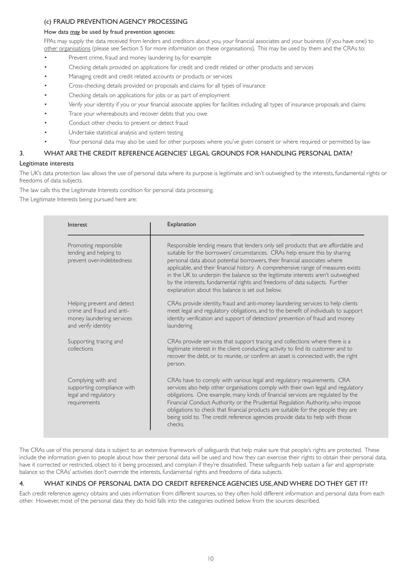# (c) FRAUD PREVENTION AGENCY PROCESSING

#### How data may be used by fraud prevention agencies:

FPAs may supply the data received from lenders and creditors about you, your financial associates and your business (if you have one) to other organisations (please see Section 5 for more information on these organisations). This may be used by them and the CRAs to:

- Prevent crime, fraud and money laundering by, for example
- Checking details provided on applications for credit and credit related or other products and services
- Managing credit and credit related accounts or products or services
- Cross-checking details provided on proposals and claims for all types of insurance
- Checking details on applications for jobs or as part of employment
- Verify your identity if you or your financial associate applies for facilities including all types of insurance proposals and claims
- Trace your whereabouts and recover debts that you owe
- Conduct other checks to prevent or detect fraud
- Undertake statistical analysis and system testing
- Your personal data may also be used for other purposes where you've given consent or where required or permitted by law

## 3. WHAT ARE THE CREDIT REFERENCE AGENCIES' LEGAL GROUNDS FOR HANDLING PERSONAL DATA?

## Legitimate interests

The UK's data protection law allows the use of personal data where its purpose is legitimate and isn't outweighed by the interests, fundamental rights or freedoms of data subjects.

The law calls this the Legitimate Interests condition for personal data processing.

The Legitimate Interests being pursued here are:

| Interest                                                                                                    | Explanation                                                                                                                                                                                                                                                                                                                                                                                                                                                                                                                                              |
|-------------------------------------------------------------------------------------------------------------|----------------------------------------------------------------------------------------------------------------------------------------------------------------------------------------------------------------------------------------------------------------------------------------------------------------------------------------------------------------------------------------------------------------------------------------------------------------------------------------------------------------------------------------------------------|
| Promoting responsible<br>lending and helping to<br>prevent over-indebtedness                                | Responsible lending means that lenders only sell products that are affordable and<br>suitable for the borrowers' circumstances. CRAs help ensure this by sharing<br>personal data about potential borrowers, their financial associates where<br>applicable, and their financial history. A comprehensive range of measures exists<br>in the UK to underpin the balance so the legitimate interests aren't outweighed<br>by the interests, fundamental rights and freedoms of data subjects. Further<br>explanation about this balance is set out below. |
| Helping prevent and detect<br>crime and fraud and anti-<br>money laundering services<br>and verify identity | CRAs provide identity, fraud and anti-money laundering services to help clients<br>meet legal and regulatory obligations, and to the benefit of individuals to support<br>identity verification and support of detection/ prevention of fraud and money<br>laundering                                                                                                                                                                                                                                                                                    |
| Supporting tracing and<br>collections                                                                       | CRAs provide services that support tracing and collections where there is a<br>legitimate interest in the client conducting activity to find its customer and to<br>recover the debt, or to reunite, or confirm an asset is connected with, the right<br>person.                                                                                                                                                                                                                                                                                         |
| Complying with and<br>supporting compliance with<br>legal and regulatory<br>requirements                    | CRAs have to comply with various legal and regulatory requirements. CRA<br>services also help other organisations comply with their own legal and regulatory<br>obligations. One example, many kinds of financial services are regulated by the<br>Financial Conduct Authority or the Prudential Regulation Authority, who impose<br>obligations to check that financial products are suitable for the people they are<br>being sold to. The credit reference agencies provide data to help with those<br>checks.                                        |

The CRAs use of this personal data is subject to an extensive framework of safeguards that help make sure that people's rights are protected. These include the information given to people about how their personal data will be used and how they can exercise their rights to obtain their personal data, have it corrected or restricted, object to it being processed, and complain if they're dissatisfied. These safeguards help sustain a fair and appropriate balance so the CRAs' activities don't override the interests, fundamental rights and freedoms of data subjects.

## 4. WHAT KINDS OF PERSONAL DATA DO CREDIT REFERENCE AGENCIES USE,ANDWHERE DO THEY GET IT?

Each credit reference agency obtains and uses information from different sources, so they often hold different information and personal data from each other. However, most of the personal data they do hold falls into the categories outlined below from the sources described.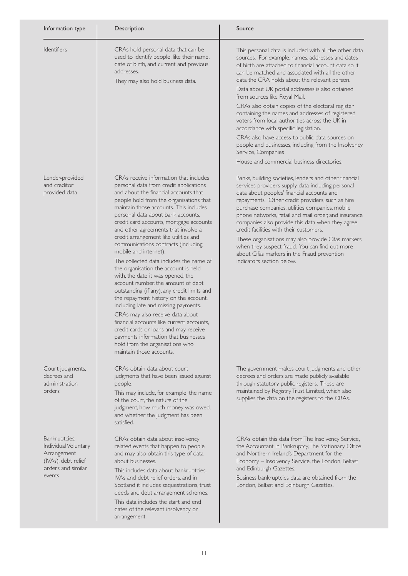| Information type                                                                                            | Description                                                                                                                                                                                                                                                                                                                                                                                                                                                                                                                                                                                 | Source                                                                                                                                                                                                                                                                                                                                                                                                                                                                                                                                                                                                              |
|-------------------------------------------------------------------------------------------------------------|---------------------------------------------------------------------------------------------------------------------------------------------------------------------------------------------------------------------------------------------------------------------------------------------------------------------------------------------------------------------------------------------------------------------------------------------------------------------------------------------------------------------------------------------------------------------------------------------|---------------------------------------------------------------------------------------------------------------------------------------------------------------------------------------------------------------------------------------------------------------------------------------------------------------------------------------------------------------------------------------------------------------------------------------------------------------------------------------------------------------------------------------------------------------------------------------------------------------------|
| Identifiers                                                                                                 | CRAs hold personal data that can be<br>used to identify people, like their name,<br>date of birth, and current and previous<br>addresses.<br>They may also hold business data.                                                                                                                                                                                                                                                                                                                                                                                                              | This personal data is included with all the other data<br>sources. For example, names, addresses and dates<br>of birth are attached to financial account data so it<br>can be matched and associated with all the other<br>data the CRA holds about the relevant person.<br>Data about UK postal addresses is also obtained<br>from sources like Royal Mail.<br>CRAs also obtain copies of the electoral register<br>containing the names and addresses of registered<br>voters from local authorities across the UK in<br>accordance with specific legislation.<br>CRAs also have access to public data sources on |
|                                                                                                             |                                                                                                                                                                                                                                                                                                                                                                                                                                                                                                                                                                                             | people and businesses, including from the Insolvency<br>Service, Companies<br>House and commercial business directories.                                                                                                                                                                                                                                                                                                                                                                                                                                                                                            |
| Lender-provided<br>and creditor<br>provided data                                                            | CRAs receive information that includes<br>personal data from credit applications<br>and about the financial accounts that<br>people hold from the organisations that<br>maintain those accounts. This includes<br>personal data about bank accounts,<br>credit card accounts, mortgage accounts<br>and other agreements that involve a<br>credit arrangement like utilities and                                                                                                                                                                                                             | Banks, building societies, lenders and other financial<br>services providers supply data including personal<br>data about peoples' financial accounts and<br>repayments. Other credit providers, such as hire<br>purchase companies, utilities companies, mobile<br>phone networks, retail and mail order, and insurance<br>companies also provide this data when they agree<br>credit facilities with their customers.<br>These organisations may also provide Cifas markers                                                                                                                                       |
|                                                                                                             | communications contracts (including<br>mobile and internet).<br>The collected data includes the name of<br>the organisation the account is held<br>with, the date it was opened, the<br>account number, the amount of debt<br>outstanding (if any), any credit limits and<br>the repayment history on the account,<br>including late and missing payments.<br>CRAs may also receive data about<br>financial accounts like current accounts.<br>credit cards or loans and may receive<br>payments information that businesses<br>hold from the organisations who<br>maintain those accounts. | when they suspect fraud. You can find out more<br>about Cifas markers in the Fraud prevention<br>indicators section below.                                                                                                                                                                                                                                                                                                                                                                                                                                                                                          |
| Court judgments,<br>decrees and<br>administration<br>orders                                                 | CRAs obtain data about court<br>judgments that have been issued against<br>people.<br>This may include, for example, the name<br>of the court, the nature of the<br>judgment, how much money was owed,<br>and whether the judgment has been<br>satisfied.                                                                                                                                                                                                                                                                                                                                   | The government makes court judgments and other<br>decrees and orders are made publicly available<br>through statutory public registers. These are<br>maintained by Registry Trust Limited, which also<br>supplies the data on the registers to the CRAs.                                                                                                                                                                                                                                                                                                                                                            |
| Bankruptcies,<br>Individual Voluntary<br>Arrangement<br>(IVAs), debt relief<br>orders and similar<br>events | CRAs obtain data about insolvency<br>related events that happen to people<br>and may also obtain this type of data<br>about businesses.<br>This includes data about bankruptcies,<br>IVAs and debt relief orders, and in<br>Scotland it includes sequestrations, trust<br>deeds and debt arrangement schemes.<br>This data includes the start and end<br>dates of the relevant insolvency or<br>arrangement.                                                                                                                                                                                | CRAs obtain this data from The Insolvency Service,<br>the Accountant in Bankruptcy, The Stationary Office<br>and Northern Ireland's Department for the<br>Economy - Insolvency Service, the London, Belfast<br>and Edinburgh Gazettes.<br>Business bankruptcies data are obtained from the<br>London, Belfast and Edinburgh Gazettes.                                                                                                                                                                                                                                                                               |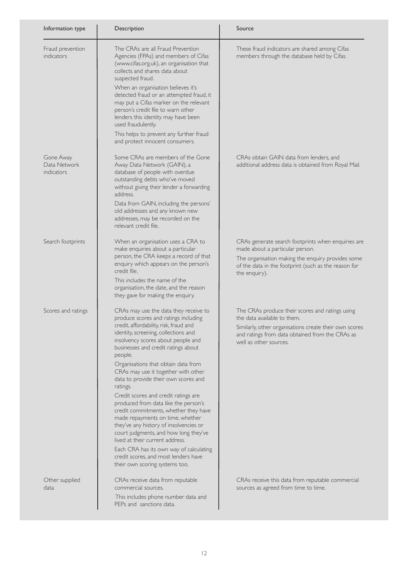| Information type                        | Description                                                                                                                                                                                                                                                                                                                                   | Source                                                                                                                                                                                                                |
|-----------------------------------------|-----------------------------------------------------------------------------------------------------------------------------------------------------------------------------------------------------------------------------------------------------------------------------------------------------------------------------------------------|-----------------------------------------------------------------------------------------------------------------------------------------------------------------------------------------------------------------------|
| Fraud prevention<br>indicators          | The CRAs are all Fraud Prevention<br>Agencies (FPAs) and members of Cifas<br>(www.cifas.org.uk), an organisation that<br>collects and shares data about<br>suspected fraud.<br>When an organisation believes it's<br>detected fraud or an attempted fraud, it<br>may put a Cifas marker on the relevant<br>person's credit file to warn other | These fraud indicators are shared among Cifas<br>members through the database held by Cifas.                                                                                                                          |
|                                         | lenders this identity may have been<br>used fraudulently.<br>This helps to prevent any further fraud<br>and protect innocent consumers.                                                                                                                                                                                                       |                                                                                                                                                                                                                       |
| Gone Away<br>Data Network<br>indicators | Some CRAs are members of the Gone<br>Away Data Network (GAIN), a<br>database of people with overdue<br>outstanding debts who've moved<br>without giving their lender a forwarding<br>address.                                                                                                                                                 | CRAs obtain GAIN data from lenders, and<br>additional address data is obtained from Royal Mail.                                                                                                                       |
|                                         | Data from GAIN, including the persons'<br>old addresses and any known new<br>addresses, may be recorded on the<br>relevant credit file.                                                                                                                                                                                                       |                                                                                                                                                                                                                       |
| Search footprints                       | When an organisation uses a CRA to<br>make enquiries about a particular<br>person, the CRA keeps a record of that<br>enquiry which appears on the person's<br>credit file.                                                                                                                                                                    | CRAs generate search footprints when enquiries are<br>made about a particular person.<br>The organisation making the enquiry provides some<br>of the data in the footprint (such as the reason for<br>the enquiry).   |
|                                         | This includes the name of the<br>organisation, the date, and the reason<br>they gave for making the enquiry.                                                                                                                                                                                                                                  |                                                                                                                                                                                                                       |
| Scores and ratings                      | CRAs may use the data they receive to<br>produce scores and ratings including<br>credit, affordability, risk, fraud and<br>identity, screening, collections and<br>insolvency scores about people and<br>businesses and credit ratings about<br>people.                                                                                       | The CRAs produce their scores and ratings using<br>the data available to them.<br>Similarly, other organisations create their own scores<br>and ratings from data obtained from the CRAs as<br>well as other sources. |
|                                         | Organisations that obtain data from<br>CRAs may use it together with other<br>data to provide their own scores and<br>ratings.<br>Credit scores and credit ratings are                                                                                                                                                                        |                                                                                                                                                                                                                       |
|                                         | produced from data like the person's<br>credit commitments, whether they have<br>made repayments on time, whether<br>they've any history of insolvencies or<br>court judgments, and how long they've<br>lived at their current address.                                                                                                       |                                                                                                                                                                                                                       |
|                                         | Each CRA has its own way of calculating<br>credit scores, and most lenders have<br>their own scoring systems too.                                                                                                                                                                                                                             |                                                                                                                                                                                                                       |
| Other supplied<br>data                  | CRAs receive data from reputable<br>commercial sources.<br>This includes phone number data and<br>PEPs and sanctions data.                                                                                                                                                                                                                    | CRAs receive this data from reputable commercial<br>sources as agreed from time to time.                                                                                                                              |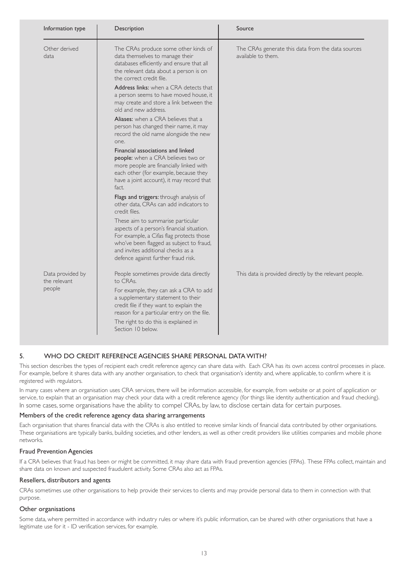| Information type                           | Description                                                                                                                                                                                                                                                                              | Source                                                                  |
|--------------------------------------------|------------------------------------------------------------------------------------------------------------------------------------------------------------------------------------------------------------------------------------------------------------------------------------------|-------------------------------------------------------------------------|
| Other derived<br>data                      | The CRAs produce some other kinds of<br>data themselves to manage their<br>databases efficiently and ensure that all<br>the relevant data about a person is on<br>the correct credit file.                                                                                               | The CRAs generate this data from the data sources<br>available to them. |
|                                            | Address links: when a CRA detects that<br>a person seems to have moved house, it<br>may create and store a link between the<br>old and new address.                                                                                                                                      |                                                                         |
|                                            | Aliases: when a CRA believes that a<br>person has changed their name, it may<br>record the old name alongside the new<br>one.                                                                                                                                                            |                                                                         |
|                                            | Financial associations and linked<br>people: when a CRA believes two or<br>more people are financially linked with<br>each other (for example, because they<br>have a joint account), it may record that<br>fact.                                                                        |                                                                         |
|                                            | Flags and triggers: through analysis of<br>other data, CRAs can add indicators to<br>credit files.                                                                                                                                                                                       |                                                                         |
|                                            | These aim to summarise particular<br>aspects of a person's financial situation.<br>For example, a Cifas flag protects those<br>who've been flagged as subject to fraud,<br>and invites additional checks as a<br>defence against further fraud risk.                                     |                                                                         |
| Data provided by<br>the relevant<br>people | People sometimes provide data directly<br>to CRAs.<br>For example, they can ask a CRA to add<br>a supplementary statement to their<br>credit file if they want to explain the<br>reason for a particular entry on the file.<br>The right to do this is explained in<br>Section 10 below. | This data is provided directly by the relevant people.                  |

# 5. WHO DO CREDIT REFERENCE AGENCIES SHARE PERSONAL DATA WITH?

This section describes the types of recipient each credit reference agency can share data with. Each CRA has its own access control processes in place. For example, before it shares data with any another organisation, to check that organisation's identity and, where applicable, to confirm where it is registered with regulators.

In many cases where an organisation uses CRA services, there will be information accessible, for example, from website or at point of application or service, to explain that an organisation may check your data with a credit reference agency (for things like identity authentication and fraud checking). In some cases, some organisations have the ability to compel CRAs, by law, to disclose certain data for certain purposes.

## Members of the credit reference agency data sharing arrangements

Each organisation that shares financial data with the CRAs is also entitled to receive similar kinds of financial data contributed by other organisations. These organisations are typically banks, building societies, and other lenders, as well as other credit providers like utilities companies and mobile phone networks.

## Fraud Prevention Agencies

If a CRA believes that fraud has been or might be committed, it may share data with fraud prevention agencies (FPAs). These FPAs collect, maintain and share data on known and suspected fraudulent activity. Some CRAs also act as FPAs.

#### Resellers, distributors and agents

CRAs sometimes use other organisations to help provide their services to clients and may provide personal data to them in connection with that purpose.

## Other organisations

Some data, where permitted in accordance with industry rules or where it's public information, can be shared with other organisations that have a legitimate use for it - ID verification services, for example.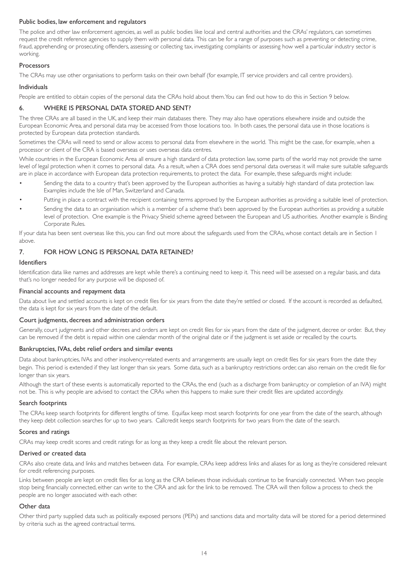#### Public bodies, law enforcement and regulators

The police and other law enforcement agencies, as well as public bodies like local and central authorities and the CRAs' regulators, can sometimes request the credit reference agencies to supply them with personal data. This can be for a range of purposes such as preventing or detecting crime, fraud, apprehending or prosecuting offenders, assessing or collecting tax, investigating complaints or assessing how well a particular industry sector is working.

#### Processors

The CRAs may use other organisations to perform tasks on their own behalf (for example, IT service providers and call centre providers).

#### Individuals

People are entitled to obtain copies of the personal data the CRAs hold about them.You can find out how to do this in Section 9 below.

## 6. WHERE IS PERSONAL DATA STORED AND SENT?

The three CRAs are all based in the UK, and keep their main databases there. They may also have operations elsewhere inside and outside the European Economic Area, and personal data may be accessed from those locations too. In both cases, the personal data use in those locations is protected by European data protection standards.

Sometimes the CRAs will need to send or allow access to personal data from elsewhere in the world. This might be the case, for example, when a processor or client of the CRA is based overseas or uses overseas data centres.

While countries in the European Economic Area all ensure a high standard of data protection law, some parts of the world may not provide the same level of legal protection when it comes to personal data. As a result, when a CRA does send personal data overseas it will make sure suitable safeguards are in place in accordance with European data protection requirements, to protect the data. For example, these safeguards might include:

- Sending the data to a country that's been approved by the European authorities as having a suitably high standard of data protection law. Examples include the Isle of Man, Switzerland and Canada.
- Putting in place a contract with the recipient containing terms approved by the European authorities as providing a suitable level of protection.
- Sending the data to an organisation which is a member of a scheme that's been approved by the European authorities as providing a suitable level of protection. One example is the Privacy Shield scheme agreed between the European and US authorities. Another example is Binding Corporate Rules.

If your data has been sent overseas like this, you can find out more about the safeguards used from the CRAs, whose contact details are in Section 1 above.

## 7. FOR HOW LONG IS PERSONAL DATA RETAINED?

# Identifiers

Identification data like names and addresses are kept while there's a continuing need to keep it. This need will be assessed on a regular basis, and data that's no longer needed for any purpose will be disposed of.

#### Financial accounts and repayment data

Data about live and settled accounts is kept on credit files for six years from the date they're settled or closed. If the account is recorded as defaulted, the data is kept for six years from the date of the default.

## Court judgments, decrees and administration orders

Generally, court judgments and other decrees and orders are kept on credit files for six years from the date of the judgment, decree or order. But, they can be removed if the debt is repaid within one calendar month of the original date or if the judgment is set aside or recalled by the courts.

#### Bankruptcies, IVAs, debt relief orders and similar events

Data about bankruptcies, IVAs and other insolvency-related events and arrangements are usually kept on credit files for six years from the date they begin. This period is extended if they last longer than six years. Some data, such as a bankruptcy restrictions order, can also remain on the credit file for longer than six years.

Although the start of these events is automatically reported to the CRAs, the end (such as a discharge from bankruptcy or completion of an IVA) might not be. This is why people are advised to contact the CRAs when this happens to make sure their credit files are updated accordingly.

## Search footprints

The CRAs keep search footprints for different lengths of time. Equifax keep most search footprints for one year from the date of the search, although they keep debt collection searches for up to two years. Callcredit keeps search footprints for two years from the date of the search.

#### Scores and ratings

CRAs may keep credit scores and credit ratings for as long as they keep a credit file about the relevant person.

#### Derived or created data

CRAs also create data, and links and matches between data. For example, CRAs keep address links and aliases for as long as they're considered relevant for credit referencing purposes.

Links between people are kept on credit files for as long as the CRA believes those individuals continue to be financially connected. When two people stop being financially connected, either can write to the CRA and ask for the link to be removed. The CRA will then follow a process to check the people are no longer associated with each other.

#### Other data

Other third party supplied data such as politically exposed persons (PEPs) and sanctions data and mortality data will be stored for a period determined by criteria such as the agreed contractual terms.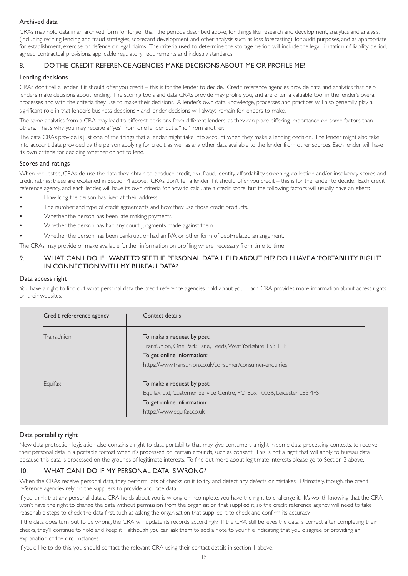## Archived data

CRAs may hold data in an archived form for longer than the periods described above, for things like research and development, analytics and analysis, (including refining lending and fraud strategies, scorecard development and other analysis such as loss forecasting), for audit purposes, and as appropriate for establishment, exercise or defence or legal claims. The criteria used to determine the storage period will include the legal limitation of liability period, agreed contractual provisions, applicable regulatory requirements and industry standards.

# 8. DO THE CREDIT REFERENCE AGENCIES MAKE DECISIONS ABOUT ME OR PROFILE ME?

## Lending decisions

CRAs don't tell a lender if it should offer you credit – this is for the lender to decide. Credit reference agencies provide data and analytics that help lenders make decisions about lending. The scoring tools and data CRAs provide may profile you, and are often a valuable tool in the lender's overall processes and with the criteria they use to make their decisions. A lender's own data, knowledge, processes and practices will also generally play a significant role in that lender's business decisions - and lender decisions will always remain for lenders to make.

The same analytics from a CRA may lead to different decisions from different lenders, as they can place differing importance on some factors than others. That's why you may receive a "yes"from one lender but a "no"from another.

The data CRAs provide is just one of the things that a lender might take into account when they make a lending decision. The lender might also take into account data provided by the person applying for credit, as well as any other data available to the lender from other sources. Each lender will have its own criteria for deciding whether or not to lend.

#### Scores and ratings

When requested, CRAs do use the data they obtain to produce credit, risk, fraud, identity, affordability, screening, collection and/or insolvency scores and credit ratings; these are explained in Section 4 above. CRAs don't tell a lender if it should offer you credit – this is for the lender to decide. Each credit reference agency, and each lender, will have its own criteria for how to calculate a credit score, but the following factors will usually have an effect:

- How long the person has lived at their address.
- The number and type of credit agreements and how they use those credit products.
- Whether the person has been late making payments.
- Whether the person has had any court judgments made against them.
- Whether the person has been bankrupt or had an IVA or other form of debt-related arrangement.

The CRAs may provide or make available further information on profiling where necessary from time to time.

## 9. WHAT CAN I DO IF IWANT TO SEE THE PERSONAL DATA HELD ABOUT ME? DO I HAVE A 'PORTABILITY RIGHT' IN CONNECTIONWITH MY BUREAU DATA?

#### Data access right

You have a right to find out what personal data the credit reference agencies hold about you. Each CRA provides more information about access rights on their websites.

| Credit refererence agency | Contact details                                                       |
|---------------------------|-----------------------------------------------------------------------|
| TransUnion                | To make a request by post:                                            |
|                           | TransUnion, One Park Lane, Leeds, West Yorkshire, LS3 IEP             |
|                           | To get online information:                                            |
|                           | https://www.transunion.co.uk/consumer/consumer-enquiries              |
| Equifax                   | To make a request by post:                                            |
|                           | Equifax Ltd, Customer Service Centre, PO Box 10036, Leicester LE3 4FS |
|                           | To get online information:                                            |
|                           | https://www.equifax.co.uk                                             |

## Data portability right

New data protection legislation also contains a right to data portability that may give consumers a right in some data processing contexts, to receive their personal data in a portable format when it's processed on certain grounds, such as consent. This is not a right that will apply to bureau data because this data is processed on the grounds of legitimate interests. To find out more about legitimate interests please go to Section 3 above.

## 10. WHAT CAN I DO IF MY PERSONAL DATA ISWRONG?

When the CRAs receive personal data, they perform lots of checks on it to try and detect any defects or mistakes. Ultimately, though, the credit reference agencies rely on the suppliers to provide accurate data.

If you think that any personal data a CRA holds about you is wrong or incomplete, you have the right to challenge it. It's worth knowing that the CRA won't have the right to change the data without permission from the organisation that supplied it, so the credit reference agency will need to take reasonable steps to check the data first, such as asking the organisation that supplied it to check and confirm its accuracy.

If the data does turn out to be wrong, the CRA will update its records accordingly. If the CRA still believes the data is correct after completing their checks, they'll continue to hold and keep it ‐ although you can ask them to add a note to your file indicating that you disagree or providing an explanation of the circumstances.

If you'd like to do this, you should contact the relevant CRA using their contact details in section 1 above.